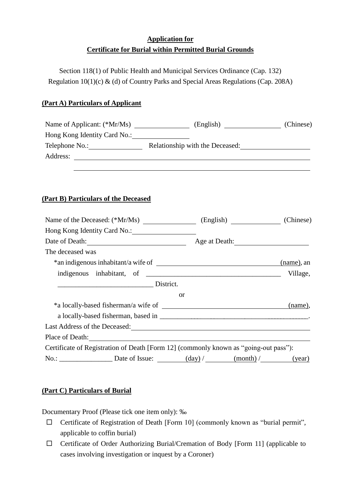# **Application for Certificate for Burial within Permitted Burial Grounds**

Section 118(1) of Public Health and Municipal Services Ordinance (Cap. 132) Regulation 10(1)(c) & (d) of Country Parks and Special Areas Regulations (Cap. 208A)

## **(Part A) Particulars of Applicant**

| Name of Applicant: (*Mr/Ms)  | (English)                       | (Chinese) |
|------------------------------|---------------------------------|-----------|
| Hong Kong Identity Card No.: |                                 |           |
| Telephone No.:               | Relationship with the Deceased: |           |
| Address:                     |                                 |           |
|                              |                                 |           |

### **(Part B) Particulars of the Deceased**

| Hong Kong Identity Card No.: 1997                                                                                                                     |           |               |            |  |
|-------------------------------------------------------------------------------------------------------------------------------------------------------|-----------|---------------|------------|--|
| Date of Death:                                                                                                                                        |           | Age at Death: |            |  |
| The deceased was                                                                                                                                      |           |               |            |  |
|                                                                                                                                                       |           |               | (name), an |  |
|                                                                                                                                                       |           |               |            |  |
| District.                                                                                                                                             |           |               |            |  |
|                                                                                                                                                       | <b>or</b> |               |            |  |
|                                                                                                                                                       |           |               | (name),    |  |
|                                                                                                                                                       |           |               |            |  |
| Last Address of the Deceased:<br><u>Last Address of the Deceased:</u>                                                                                 |           |               |            |  |
| Place of Death:                                                                                                                                       |           |               |            |  |
| Certificate of Registration of Death [Form 12] (commonly known as "going-out pass"):                                                                  |           |               |            |  |
| No.: $\_\_\_\_\_\_\_\_\_\_\_\_\_\_\_\_\_\_\_\_\_\_\_\_\_\_\_\_\_\_ \_\_ \_ (map / \_\_\_\_\_\_\_\_\_ (map / \_\_\_\_\_\_\_ (map / \_\_\_\_\_ (ge ar)$ |           |               |            |  |

### **(Part C) Particulars of Burial**

Documentary Proof (Please tick one item only): ‰

- $\Box$  Certificate of Registration of Death [Form 10] (commonly known as "burial permit", applicable to coffin burial)
- $\Box$  Certificate of Order Authorizing Burial/Cremation of Body [Form 11] (applicable to cases involving investigation or inquest by a Coroner)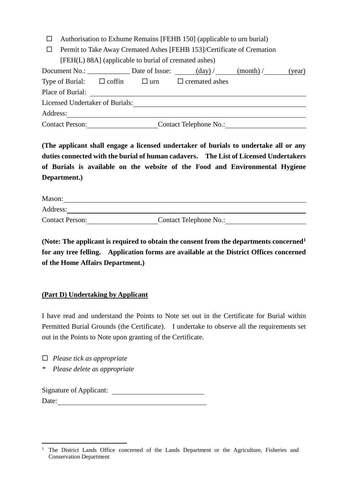- $\Box$  Authorisation to Exhume Remains [FEHB 150] (applicable to urn burial)
- $\Box$  Permit to Take Away Cremated Ashes [FEHB 153]/Certificate of Cremation [FEH(L) 88A] (applicable to burial of cremated ashes)

| Document No.:                   |               | Date of Issue: | $\frac{day}{t}$               | (month) | (year) |
|---------------------------------|---------------|----------------|-------------------------------|---------|--------|
| Type of Burial:                 | $\Box$ coffin | $\Box$ urn     | $\Box$ cremated ashes         |         |        |
| Place of Burial:                |               |                |                               |         |        |
| Licensed Undertaker of Burials: |               |                |                               |         |        |
| Address:                        |               |                |                               |         |        |
| <b>Contact Person:</b>          |               |                | <b>Contact Telephone No.:</b> |         |        |

**(The applicant shall engage a licensed undertaker of burials to undertake all or any duties connected with the burial of human cadavers. The List of Licensed Undertakers of Burials is available on the website of the Food and Environmental Hygiene Department.)** 

| Mason:                 |                               |  |
|------------------------|-------------------------------|--|
| Address:               |                               |  |
| <b>Contact Person:</b> | <b>Contact Telephone No.:</b> |  |

**(Note: The applicant is required to obtain the consent from the departments concerned<sup>1</sup> for any tree felling. Application forms are available at the District Offices concerned of the Home Affairs Department.)** 

#### **(Part D) Undertaking by Applicant**

I have read and understand the Points to Note set out in the Certificate for Burial within Permitted Burial Grounds (the Certificate). I undertake to observe all the requirements set out in the Points to Note upon granting of the Certificate.

*Please tick as appropriate*

*\* Please delete as appropriate*

Signature of Applicant: Date:

 $\overline{a}$ <sup>1</sup> The District Lands Office concerned of the Lands Department or the Agriculture, Fisheries and Conservation Department